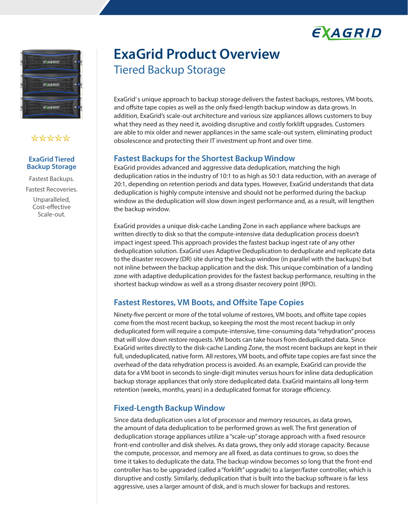



## \*\*\*\*\*

#### **ExaGrid Tiered Backup Storage**

Fastest Backups. Fastest Recoveries. Unparalleled, Cost-effective Scale-out.

# **ExaGrid Product Overview** Tiered Backup Storage

ExaGrid' s unique approach to backup storage delivers the fastest backups, restores, VM boots, and offsite tape copies as well as the only fixed-length backup window as data grows. In addition, ExaGrid's scale-out architecture and various size appliances allows customers to buy what they need as they need it, avoiding disruptive and costly forklift upgrades. Customers are able to mix older and newer appliances in the same scale-out system, eliminating product obsolescence and protecting their IT investment up front and over time.

### **Fastest Backups for the Shortest Backup Window**

ExaGrid provides advanced and aggressive data deduplication, matching the high deduplication ratios in the industry of 10:1 to as high as 50:1 data reduction, with an average of 20:1, depending on retention periods and data types. However, ExaGrid understands that data deduplication is highly compute intensive and should not be performed during the backup window as the deduplication will slow down ingest performance and, as a result, will lengthen the backup window.

ExaGrid provides a unique disk-cache Landing Zone in each appliance where backups are written directly to disk so that the compute-intensive data deduplication process doesn't impact ingest speed. This approach provides the fastest backup ingest rate of any other deduplication solution. ExaGrid uses Adaptive Deduplication to deduplicate and replicate data to the disaster recovery (DR) site during the backup window (in parallel with the backups) but not inline between the backup application and the disk. This unique combination of a landing zone with adaptive deduplication provides for the fastest backup performance, resulting in the shortest backup window as well as a strong disaster recovery point (RPO).

## **Fastest Restores, VM Boots, and Offsite Tape Copies**

Ninety-five percent or more of the total volume of restores, VM boots, and offsite tape copies come from the most recent backup, so keeping the most the most recent backup in only deduplicated form will require a compute-intensive, time-consuming data "rehydration" process that will slow down restore requests. VM boots can take hours from deduplicated data. Since ExaGrid writes directly to the disk-cache Landing Zone, the most recent backups are kept in their full, undeduplicated, native form. All restores, VM boots, and offsite tape copies are fast since the overhead of the data rehydration process is avoided. As an example, ExaGrid can provide the data for a VM boot in seconds to single-digit minutes versus hours for inline data deduplication backup storage appliances that only store deduplicated data. ExaGrid maintains all long-term retention (weeks, months, years) in a deduplicated format for storage efficiency.

## **Fixed-Length Backup Window**

Since data deduplication uses a lot of processor and memory resources, as data grows, the amount of data deduplication to be performed grows as well. The first generation of deduplication storage appliances utilize a "scale-up" storage approach with a fixed resource front-end controller and disk shelves. As data grows, they only add storage capacity. Because the compute, processor, and memory are all fixed, as data continues to grow, so does the time it takes to deduplicate the data. The backup window becomes so long that the front-end controller has to be upgraded (called a "forklift" upgrade) to a larger/faster controller, which is disruptive and costly. Similarly, deduplication that is built into the backup software is far less aggressive, uses a larger amount of disk, and is much slower for backups and restores.